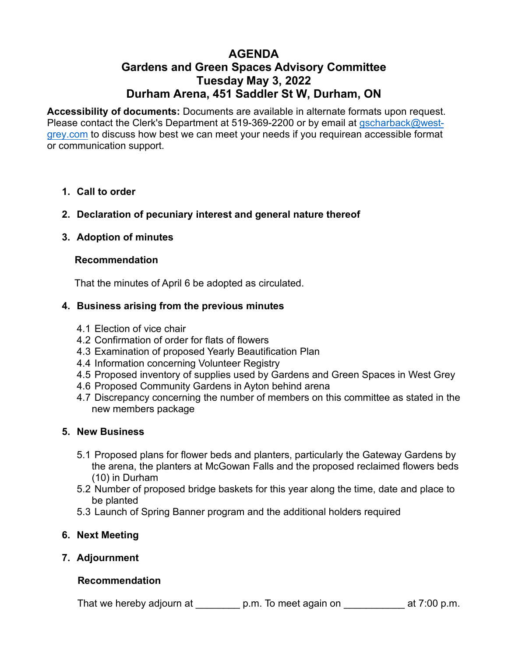# **AGENDA Gardens and Green Spaces Advisory Committee Tuesday May 3, 2022 Durham Arena, 451 Saddler St W, Durham, ON**

**[Accessibility of documents:](https://us02web.zoom.us/j/84511472497)** Documents are available in alternate formats upon request. Please contact the Clerk's Department at 519-369-2200 or by email at gscharback@westgrey.com to discuss how best we can meet your needs if you require[an accessible](mailto:gscharback@westgrey.com) format or [commun](mailto:gscharback@westgrey.com)ication support.

- **1. Call to order**
- **2. Declaration of pecuniary interest and general nature thereof**
- **3. Adoption of minutes**

## **Recommendation**

That the minutes of April 6 be adopted as circulated.

# **4. Business arising from the previous minutes**

- 4.1 Election of vice chair
- 4.2 Confirmation of order for flats of flowers
- 4.3 Examination of proposed Yearly Beautification Plan
- 4.4 Information concerning Volunteer Registry
- 4.5 Proposed inventory of supplies used by Gardens and Green Spaces in West Grey
- 4.6 Proposed Community Gardens in Ayton behind arena
- 4.7 Discrepancy concerning the number of members on this committee as stated in the new members package

### **5. New Business**

- 5.1 Proposed plans for flower beds and planters, particularly the Gateway Gardens by the arena, the planters at McGowan Falls and the proposed reclaimed flowers beds (10) in Durham
- 5.2 Number of proposed bridge baskets for this year along the time, date and place to be planted
- 5.3 Launch of Spring Banner program and the additional holders required

# **6. Next Meeting**

**7. Adjournment**

### **Recommendation**

That we hereby adjourn at \_\_\_\_\_\_\_\_\_ p.m. To meet again on \_\_\_\_\_\_\_\_\_\_\_\_ at 7:00 p.m.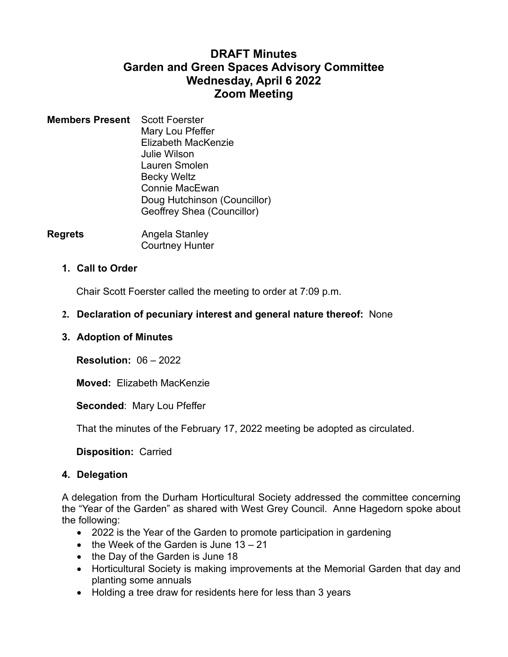# **DRAFT Minutes Garden and Green Spaces Advisory Committee Wednesday, April 6 2022 Zoom Meeting**

- **Members Present** Scott Foerster Mary Lou Pfeffer Elizabeth MacKenzie Julie Wilson Lauren Smolen Becky Weltz Connie MacEwan Doug Hutchinson (Councillor) Geoffrey Shea (Councillor)
- **Regrets Angela Stanley** Courtney Hunter

## **1. Call to Order**

Chair Scott Foerster called the meeting to order at 7:09 p.m.

# **2. Declaration of pecuniary interest and general nature thereof:** None

### **3. Adoption of Minutes**

**Resolution:** 06 – 2022

**Moved:** Elizabeth MacKenzie

**Seconded**: Mary Lou Pfeffer

That the minutes of the February 17, 2022 meeting be adopted as circulated.

**Disposition:** Carried

### **4. Delegation**

A delegation from the Durham Horticultural Society addressed the committee concerning the "Year of the Garden" as shared with West Grey Council. Anne Hagedorn spoke about the following:

- 2022 is the Year of the Garden to promote participation in gardening
- $\bullet$  the Week of the Garden is June 13 21
- the Day of the Garden is June 18
- Horticultural Society is making improvements at the Memorial Garden that day and planting some annuals
- Holding a tree draw for residents here for less than 3 years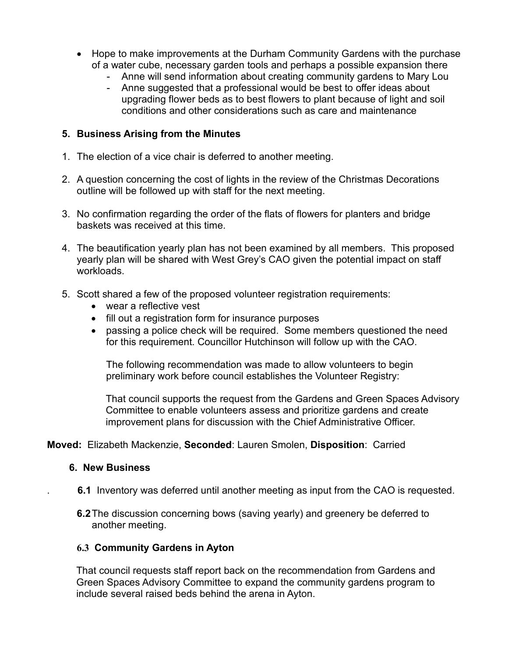- Hope to make improvements at the Durham Community Gardens with the purchase of a water cube, necessary garden tools and perhaps a possible expansion there
	- Anne will send information about creating community gardens to Mary Lou
	- Anne suggested that a professional would be best to offer ideas about upgrading flower beds as to best flowers to plant because of light and soil conditions and other considerations such as care and maintenance

### **5. Business Arising from the Minutes**

- 1. The election of a vice chair is deferred to another meeting.
- 2. A question concerning the cost of lights in the review of the Christmas Decorations outline will be followed up with staff for the next meeting.
- 3. No confirmation regarding the order of the flats of flowers for planters and bridge baskets was received at this time.
- 4. The beautification yearly plan has not been examined by all members. This proposed yearly plan will be shared with West Grey's CAO given the potential impact on staff workloads.
- 5. Scott shared a few of the proposed volunteer registration requirements:
	- wear a reflective vest
	- fill out a registration form for insurance purposes
	- passing a police check will be required. Some members questioned the need for this requirement. Councillor Hutchinson will follow up with the CAO.

The following recommendation was made to allow volunteers to begin preliminary work before council establishes the Volunteer Registry:

That council supports the request from the Gardens and Green Spaces Advisory Committee to enable volunteers assess and prioritize gardens and create improvement plans for discussion with the Chief Administrative Officer.

### **Moved:** Elizabeth Mackenzie, **Seconded**: Lauren Smolen, **Disposition**: Carried

#### **6. New Business**

- . **6.1** Inventory was deferred until another meeting as input from the CAO is requested.
- **6.2**The discussion concerning bows (saving yearly) and greenery be deferred to another meeting.

#### **6.3 Community Gardens in Ayton**

That council requests staff report back on the recommendation from Gardens and Green Spaces Advisory Committee to expand the community gardens program to include several raised beds behind the arena in Ayton.